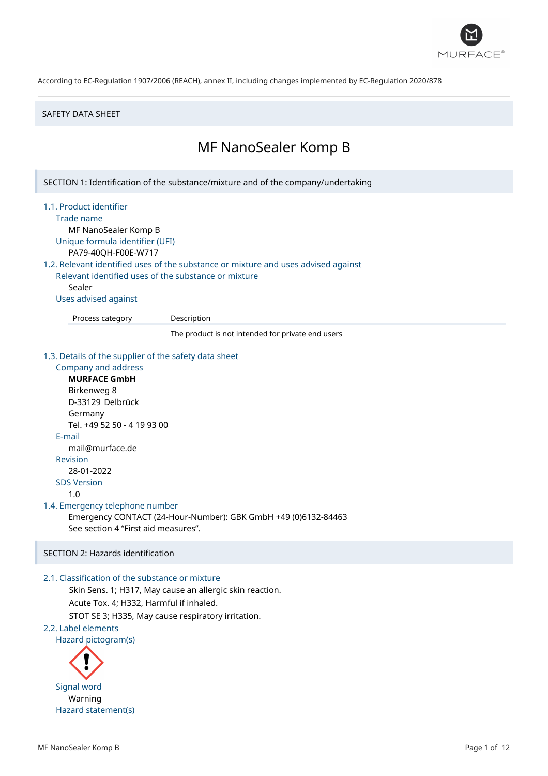

#### SAFETY DATA SHEET

# MF NanoSealer Komp B

SECTION 1: Identification of the substance/mixture and of the company/undertaking

#### 1.1. Product identifier

Trade name

MF NanoSealer Komp B Unique formula identifier (UFI)

PA79-40QH-F00E-W717

1.2. Relevant identified uses of the substance or mixture and uses advised against Relevant identified uses of the substance or mixture

Sealer

Uses advised against

Process category Description

The product is not intended for private end users

#### 1.3. Details of the supplier of the safety data sheet

Company and address **MURFACE GmbH** Birkenweg 8 D-33129 Delbrück Germany Tel. +49 52 50 - 4 19 93 00 E-mail mail@murface.de Revision 28-01-2022 SDS Version 1.0 1.4. Emergency telephone number Emergency CONTACT (24-Hour-Number): GBK GmbH +49 (0)6132-84463 See section 4 "First aid measures".

## SECTION 2: Hazards identification

## 2.1. Classification of the substance or mixture

Skin Sens. 1; H317, May cause an allergic skin reaction. Acute Tox. 4; H332, Harmful if inhaled.

STOT SE 3; H335, May cause respiratory irritation.

2.2. Label elements

Hazard pictogram(s)

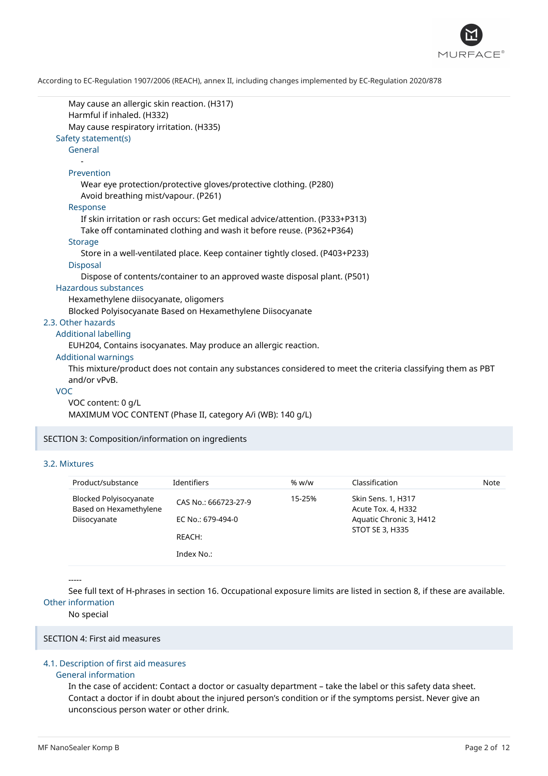

| May cause an allergic skin reaction. (H317)<br>Harmful if inhaled. (H332)                                    |
|--------------------------------------------------------------------------------------------------------------|
| May cause respiratory irritation. (H335)                                                                     |
| Safety statement(s)                                                                                          |
| General                                                                                                      |
|                                                                                                              |
| Prevention                                                                                                   |
|                                                                                                              |
| Wear eye protection/protective gloves/protective clothing. (P280)                                            |
| Avoid breathing mist/vapour. (P261)                                                                          |
| Response                                                                                                     |
| If skin irritation or rash occurs: Get medical advice/attention. (P333+P313)                                 |
| Take off contaminated clothing and wash it before reuse. (P362+P364)                                         |
| <b>Storage</b>                                                                                               |
| Store in a well-ventilated place. Keep container tightly closed. (P403+P233)                                 |
| <b>Disposal</b>                                                                                              |
| Dispose of contents/container to an approved waste disposal plant. (P501)                                    |
| Hazardous substances                                                                                         |
| Hexamethylene diisocyanate, oligomers                                                                        |
| Blocked Polyisocyanate Based on Hexamethylene Diisocyanate                                                   |
| 2.3. Other hazards                                                                                           |
| <b>Additional labelling</b>                                                                                  |
| EUH204, Contains isocyanates. May produce an allergic reaction.                                              |
| <b>Additional warnings</b>                                                                                   |
| This mixture/product does not contain any substances considered to meet the criteria classifying them as PBT |
| and/or vPvB.                                                                                                 |
| <b>VOC</b>                                                                                                   |
| VOC content: 0 g/L                                                                                           |

MAXIMUM VOC CONTENT (Phase II, category A/i (WB): 140 g/L)

SECTION 3: Composition/information on ingredients

## 3.2. Mixtures

| Product/substance                                                | Identifiers                                         | % w/w  | Classification                                                                                | Note |
|------------------------------------------------------------------|-----------------------------------------------------|--------|-----------------------------------------------------------------------------------------------|------|
| Blocked Polyisocyanate<br>Based on Hexamethylene<br>Diisocyanate | CAS No.: 666723-27-9<br>EC No.: 679-494-0<br>REACH: | 15-25% | Skin Sens. 1, H317<br>Acute Tox. 4, H332<br>Aquatic Chronic 3, H412<br><b>STOT SE 3, H335</b> |      |
|                                                                  | Index No.:                                          |        |                                                                                               |      |

-----

See full text of H-phrases in section 16. Occupational exposure limits are listed in section 8, if these are available. Other information

No special

#### SECTION 4: First aid measures

## 4.1. Description of first aid measures

## General information

In the case of accident: Contact a doctor or casualty department – take the label or this safety data sheet. Contact a doctor if in doubt about the injured person's condition or if the symptoms persist. Never give an unconscious person water or other drink.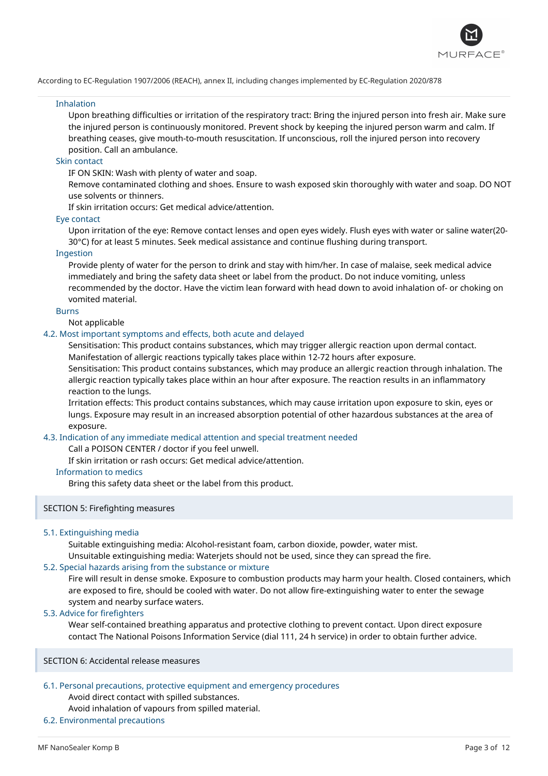

#### Inhalation

Upon breathing difficulties or irritation of the respiratory tract: Bring the injured person into fresh air. Make sure the injured person is continuously monitored. Prevent shock by keeping the injured person warm and calm. If breathing ceases, give mouth-to-mouth resuscitation. If unconscious, roll the injured person into recovery position. Call an ambulance.

## Skin contact

IF ON SKIN: Wash with plenty of water and soap.

Remove contaminated clothing and shoes. Ensure to wash exposed skin thoroughly with water and soap. DO NOT use solvents or thinners.

If skin irritation occurs: Get medical advice/attention.

### Eye contact

Upon irritation of the eye: Remove contact lenses and open eyes widely. Flush eyes with water or saline water(20- 30°C) for at least 5 minutes. Seek medical assistance and continue flushing during transport.

#### Ingestion

Provide plenty of water for the person to drink and stay with him/her. In case of malaise, seek medical advice immediately and bring the safety data sheet or label from the product. Do not induce vomiting, unless recommended by the doctor. Have the victim lean forward with head down to avoid inhalation of- or choking on vomited material.

### Burns

Not applicable

#### 4.2. Most important symptoms and effects, both acute and delayed

Sensitisation: This product contains substances, which may trigger allergic reaction upon dermal contact. Manifestation of allergic reactions typically takes place within 12-72 hours after exposure.

Sensitisation: This product contains substances, which may produce an allergic reaction through inhalation. The allergic reaction typically takes place within an hour after exposure. The reaction results in an inflammatory reaction to the lungs.

Irritation effects: This product contains substances, which may cause irritation upon exposure to skin, eyes or lungs. Exposure may result in an increased absorption potential of other hazardous substances at the area of exposure.

## 4.3. Indication of any immediate medical attention and special treatment needed

Call a POISON CENTER / doctor if you feel unwell.

If skin irritation or rash occurs: Get medical advice/attention.

#### Information to medics

Bring this safety data sheet or the label from this product.

#### SECTION 5: Firefighting measures

## 5.1. Extinguishing media

Suitable extinguishing media: Alcohol-resistant foam, carbon dioxide, powder, water mist.

Unsuitable extinguishing media: Waterjets should not be used, since they can spread the fire.

## 5.2. Special hazards arising from the substance or mixture

Fire will result in dense smoke. Exposure to combustion products may harm your health. Closed containers, which are exposed to fire, should be cooled with water. Do not allow fire-extinguishing water to enter the sewage system and nearby surface waters.

### 5.3. Advice for firefighters

Wear self-contained breathing apparatus and protective clothing to prevent contact. Upon direct exposure contact The National Poisons Information Service (dial 111, 24 h service) in order to obtain further advice.

SECTION 6: Accidental release measures

### 6.1. Personal precautions, protective equipment and emergency procedures

Avoid direct contact with spilled substances.

### Avoid inhalation of vapours from spilled material.

## 6.2. Environmental precautions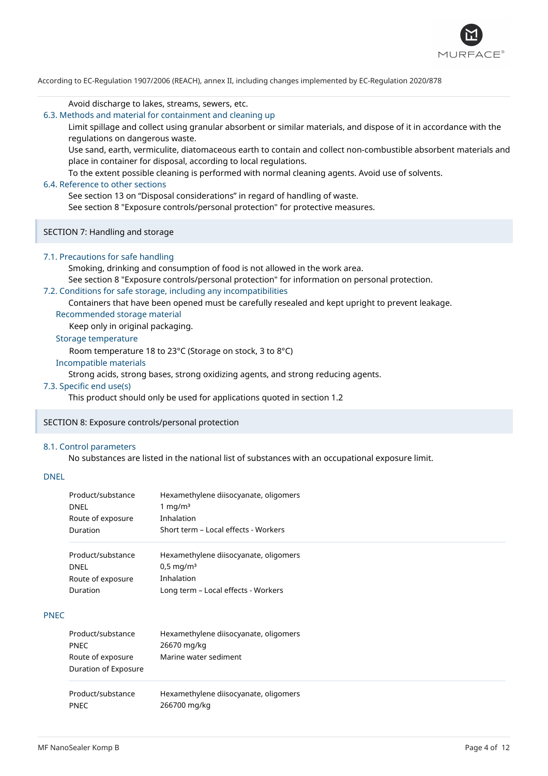

#### Avoid discharge to lakes, streams, sewers, etc.

6.3. Methods and material for containment and cleaning up

Limit spillage and collect using granular absorbent or similar materials, and dispose of it in accordance with the regulations on dangerous waste.

Use sand, earth, vermiculite, diatomaceous earth to contain and collect non-combustible absorbent materials and place in container for disposal, according to local regulations.

To the extent possible cleaning is performed with normal cleaning agents. Avoid use of solvents.

#### 6.4. Reference to other sections

See section 13 on "Disposal considerations" in regard of handling of waste.

See section 8 "Exposure controls/personal protection" for protective measures.

SECTION 7: Handling and storage

#### 7.1. Precautions for safe handling

Smoking, drinking and consumption of food is not allowed in the work area.

See section 8 "Exposure controls/personal protection" for information on personal protection.

## 7.2. Conditions for safe storage, including any incompatibilities

Containers that have been opened must be carefully resealed and kept upright to prevent leakage. Recommended storage material

Keep only in original packaging.

## Storage temperature

Room temperature 18 to 23°C (Storage on stock, 3 to 8°C)

### Incompatible materials

Strong acids, strong bases, strong oxidizing agents, and strong reducing agents.

#### 7.3. Specific end use(s)

This product should only be used for applications quoted in section 1.2

## SECTION 8: Exposure controls/personal protection

#### 8.1. Control parameters

No substances are listed in the national list of substances with an occupational exposure limit.

## DNEL

|             | Product/substance<br><b>DNEL</b><br>Route of exposure<br>Duration | Hexamethylene diisocyanate, oligomers<br>1 mg/m $3$<br>Inhalation<br>Short term - Local effects - Workers             |
|-------------|-------------------------------------------------------------------|-----------------------------------------------------------------------------------------------------------------------|
|             | Product/substance<br><b>DNEL</b><br>Route of exposure<br>Duration | Hexamethylene diisocyanate, oligomers<br>$0.5 \,\mathrm{mq/m^3}$<br>Inhalation<br>Long term - Local effects - Workers |
| <b>PNEC</b> |                                                                   |                                                                                                                       |
|             | Product/substance<br><b>PNEC</b>                                  | Hexamethylene diisocyanate, oligomers<br>26670 mg/kg                                                                  |

| Route of exposure<br>Duration of Exposure | Marine water sediment                 |  |
|-------------------------------------------|---------------------------------------|--|
| Product/substance                         | Hexamethylene diisocyanate, oligomers |  |
| <b>PNFC</b>                               | 266700 mg/kg                          |  |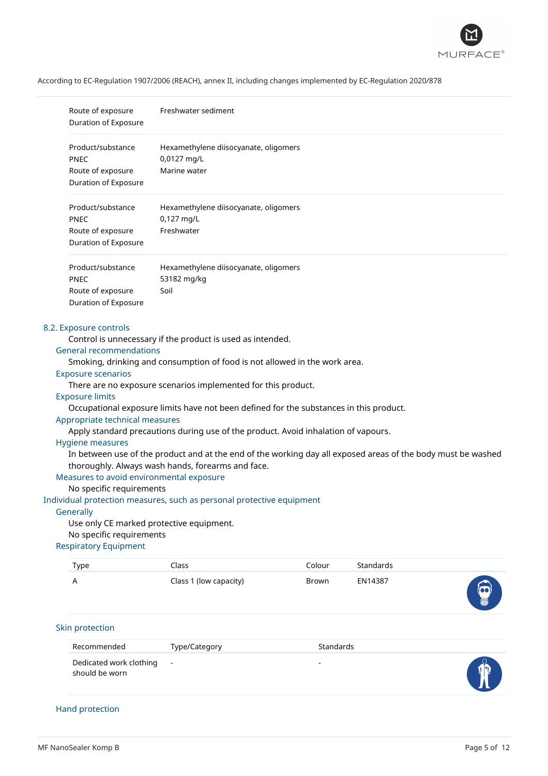

|                                                                                                                                                                                                                                                                                                                                                                                                                                                                                                                                                                                                                                                                                                                                                                                                                                                                                                                                                                                                               | Route of exposure<br>Duration of Exposure                                                                                                      | Freshwater sediment                                               |           |           |  |
|---------------------------------------------------------------------------------------------------------------------------------------------------------------------------------------------------------------------------------------------------------------------------------------------------------------------------------------------------------------------------------------------------------------------------------------------------------------------------------------------------------------------------------------------------------------------------------------------------------------------------------------------------------------------------------------------------------------------------------------------------------------------------------------------------------------------------------------------------------------------------------------------------------------------------------------------------------------------------------------------------------------|------------------------------------------------------------------------------------------------------------------------------------------------|-------------------------------------------------------------------|-----------|-----------|--|
|                                                                                                                                                                                                                                                                                                                                                                                                                                                                                                                                                                                                                                                                                                                                                                                                                                                                                                                                                                                                               | Product/substance<br>Hexamethylene diisocyanate, oligomers<br>0,0127 mg/L<br>PNEC<br>Marine water<br>Route of exposure<br>Duration of Exposure |                                                                   |           |           |  |
|                                                                                                                                                                                                                                                                                                                                                                                                                                                                                                                                                                                                                                                                                                                                                                                                                                                                                                                                                                                                               | Product/substance<br><b>PNEC</b><br>Route of exposure<br>Duration of Exposure                                                                  | Hexamethylene diisocyanate, oligomers<br>0,127 mg/L<br>Freshwater |           |           |  |
|                                                                                                                                                                                                                                                                                                                                                                                                                                                                                                                                                                                                                                                                                                                                                                                                                                                                                                                                                                                                               | Product/substance<br><b>PNEC</b><br>Route of exposure<br>Duration of Exposure                                                                  | Hexamethylene diisocyanate, oligomers<br>53182 mg/kg<br>Soil      |           |           |  |
| 8.2. Exposure controls<br>Control is unnecessary if the product is used as intended.<br><b>General recommendations</b><br>Smoking, drinking and consumption of food is not allowed in the work area.<br><b>Exposure scenarios</b><br>There are no exposure scenarios implemented for this product.<br><b>Exposure limits</b><br>Occupational exposure limits have not been defined for the substances in this product.<br>Appropriate technical measures<br>Apply standard precautions during use of the product. Avoid inhalation of vapours.<br>Hygiene measures<br>In between use of the product and at the end of the working day all exposed areas of the body must be washed<br>thoroughly. Always wash hands, forearms and face.<br>Measures to avoid environmental exposure<br>No specific requirements<br>Individual protection measures, such as personal protective equipment<br>Generally<br>Use only CE marked protective equipment.<br>No specific requirements<br><b>Respiratory Equipment</b> |                                                                                                                                                |                                                                   |           |           |  |
|                                                                                                                                                                                                                                                                                                                                                                                                                                                                                                                                                                                                                                                                                                                                                                                                                                                                                                                                                                                                               | <b>Type</b>                                                                                                                                    | Class                                                             | Colour    | Standards |  |
|                                                                                                                                                                                                                                                                                                                                                                                                                                                                                                                                                                                                                                                                                                                                                                                                                                                                                                                                                                                                               | Α                                                                                                                                              | Class 1 (low capacity)                                            | Brown     | EN14387   |  |
|                                                                                                                                                                                                                                                                                                                                                                                                                                                                                                                                                                                                                                                                                                                                                                                                                                                                                                                                                                                                               | Skin protection                                                                                                                                |                                                                   |           |           |  |
|                                                                                                                                                                                                                                                                                                                                                                                                                                                                                                                                                                                                                                                                                                                                                                                                                                                                                                                                                                                                               | Recommended                                                                                                                                    | Type/Category                                                     | Standards |           |  |
|                                                                                                                                                                                                                                                                                                                                                                                                                                                                                                                                                                                                                                                                                                                                                                                                                                                                                                                                                                                                               | Dedicated work clothing<br>should be worn                                                                                                      |                                                                   |           |           |  |

## Hand protection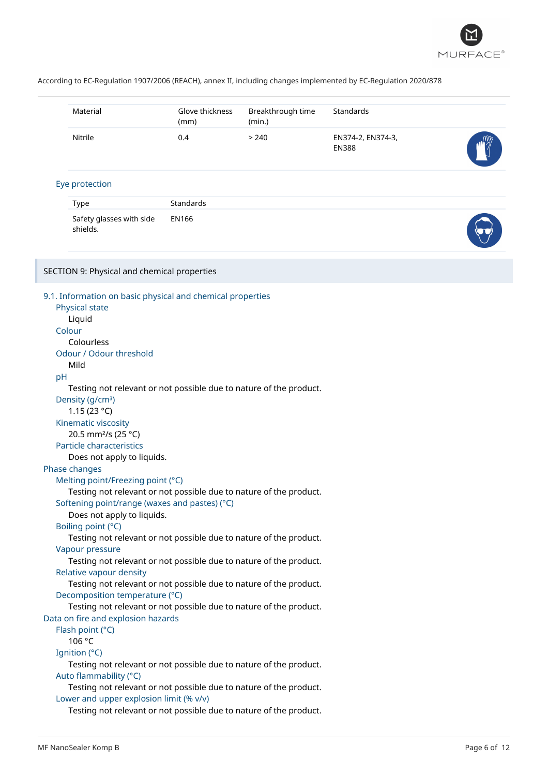

|    | Material                                    | Glove thickness<br>(mm)                                            | Breakthrough time<br>(min.) | Standards                         |  |
|----|---------------------------------------------|--------------------------------------------------------------------|-----------------------------|-----------------------------------|--|
|    | Nitrile                                     | 0.4                                                                | > 240                       | EN374-2, EN374-3,<br><b>EN388</b> |  |
|    | Eye protection                              |                                                                    |                             |                                   |  |
|    | <b>Type</b>                                 | Standards                                                          |                             |                                   |  |
|    | Safety glasses with side                    | <b>EN166</b>                                                       |                             |                                   |  |
|    | shields.                                    |                                                                    |                             |                                   |  |
|    | SECTION 9: Physical and chemical properties |                                                                    |                             |                                   |  |
|    |                                             |                                                                    |                             |                                   |  |
|    |                                             | 9.1. Information on basic physical and chemical properties         |                             |                                   |  |
|    | Physical state                              |                                                                    |                             |                                   |  |
|    | Liquid                                      |                                                                    |                             |                                   |  |
|    | Colour                                      |                                                                    |                             |                                   |  |
|    | Colourless                                  |                                                                    |                             |                                   |  |
|    | Odour / Odour threshold                     |                                                                    |                             |                                   |  |
| pH | Mild                                        |                                                                    |                             |                                   |  |
|    |                                             | Testing not relevant or not possible due to nature of the product. |                             |                                   |  |
|    | Density (g/cm <sup>3</sup> )                |                                                                    |                             |                                   |  |
|    | 1.15 $(23 °C)$                              |                                                                    |                             |                                   |  |
|    | Kinematic viscosity                         |                                                                    |                             |                                   |  |
|    | 20.5 mm <sup>2</sup> /s (25 °C)             |                                                                    |                             |                                   |  |
|    | <b>Particle characteristics</b>             |                                                                    |                             |                                   |  |
|    | Does not apply to liquids.                  |                                                                    |                             |                                   |  |
|    | Phase changes                               |                                                                    |                             |                                   |  |
|    | Melting point/Freezing point (°C)           |                                                                    |                             |                                   |  |
|    |                                             | Testing not relevant or not possible due to nature of the product. |                             |                                   |  |
|    |                                             | Softening point/range (waxes and pastes) (°C)                      |                             |                                   |  |
|    | Does not apply to liquids.                  |                                                                    |                             |                                   |  |
|    | Boiling point (°C)                          |                                                                    |                             |                                   |  |
|    |                                             | Testing not relevant or not possible due to nature of the product. |                             |                                   |  |
|    | Vapour pressure                             |                                                                    |                             |                                   |  |
|    | Relative vapour density                     | Testing not relevant or not possible due to nature of the product. |                             |                                   |  |
|    |                                             | Testing not relevant or not possible due to nature of the product. |                             |                                   |  |
|    | Decomposition temperature (°C)              |                                                                    |                             |                                   |  |
|    |                                             | Testing not relevant or not possible due to nature of the product. |                             |                                   |  |
|    | Data on fire and explosion hazards          |                                                                    |                             |                                   |  |
|    | Flash point (°C)                            |                                                                    |                             |                                   |  |
|    | 106 °C                                      |                                                                    |                             |                                   |  |
|    | Ignition (°C)                               |                                                                    |                             |                                   |  |
|    |                                             | Testing not relevant or not possible due to nature of the product. |                             |                                   |  |
|    | Auto flammability (°C)                      |                                                                    |                             |                                   |  |
|    |                                             | Testing not relevant or not possible due to nature of the product. |                             |                                   |  |
|    | Lower and upper explosion limit (% v/v)     |                                                                    |                             |                                   |  |
|    |                                             | Testing not relevant or not possible due to nature of the product. |                             |                                   |  |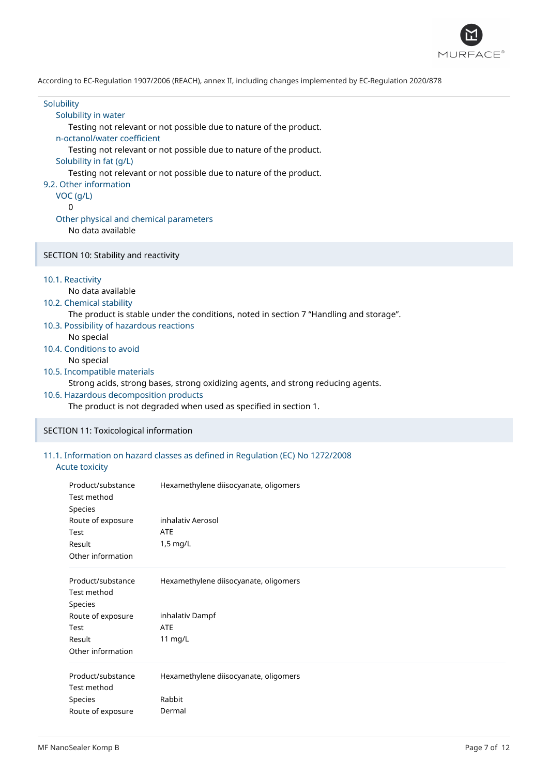

| Solubility<br>Solubility in water<br>Testing not relevant or not possible due to nature of the product.<br>n-octanol/water coefficient<br>Testing not relevant or not possible due to nature of the product.<br>Solubility in fat (g/L)<br>Testing not relevant or not possible due to nature of the product.<br>9.2. Other information<br>VOC (g/L)<br>0<br>Other physical and chemical parameters<br>No data available                                                                           |
|----------------------------------------------------------------------------------------------------------------------------------------------------------------------------------------------------------------------------------------------------------------------------------------------------------------------------------------------------------------------------------------------------------------------------------------------------------------------------------------------------|
| SECTION 10: Stability and reactivity                                                                                                                                                                                                                                                                                                                                                                                                                                                               |
| 10.1. Reactivity<br>No data available<br>10.2. Chemical stability<br>The product is stable under the conditions, noted in section 7 "Handling and storage".<br>10.3. Possibility of hazardous reactions<br>No special<br>10.4. Conditions to avoid<br>No special<br>10.5. Incompatible materials<br>Strong acids, strong bases, strong oxidizing agents, and strong reducing agents.<br>10.6. Hazardous decomposition products<br>The product is not degraded when used as specified in section 1. |
| SECTION 11: Toxicological information                                                                                                                                                                                                                                                                                                                                                                                                                                                              |
| 11.1. Information on hazard classes as defined in Regulation (EC) No 1272/2008<br><b>Acute toxicity</b>                                                                                                                                                                                                                                                                                                                                                                                            |
| Hexamethylene diisocyanate, oligomers<br>Product/substance                                                                                                                                                                                                                                                                                                                                                                                                                                         |

| <b>Product</b> substance<br>Test method | Hexametriviene disocyanate, oligoniers |
|-----------------------------------------|----------------------------------------|
|                                         |                                        |
| Species                                 |                                        |
| Route of exposure                       | inhalativ Aerosol                      |
| Test                                    | ATE                                    |
| Result                                  | $1,5$ mg/L                             |
| Other information                       |                                        |
| Product/substance                       | Hexamethylene diisocyanate, oligomers  |
| Test method                             |                                        |
| Species                                 |                                        |
| Route of exposure                       | inhalativ Dampf                        |
| Test                                    | <b>ATE</b>                             |
| Result                                  | 11 $mg/L$                              |
| Other information                       |                                        |
| Product/substance                       | Hexamethylene diisocyanate, oligomers  |
| Test method                             |                                        |
| <b>Species</b>                          | Rabbit                                 |
| Route of exposure                       | Dermal                                 |
|                                         |                                        |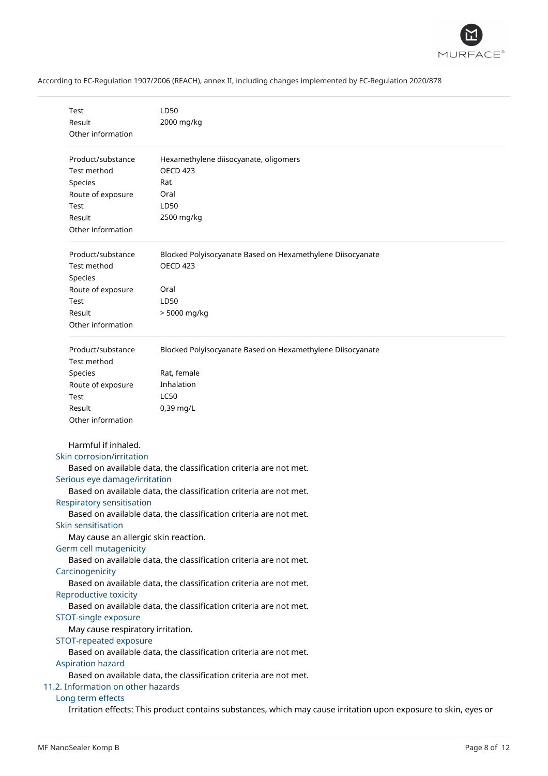

| Test<br>Result                       | LD50<br>2000 mg/kg                                                                                              |
|--------------------------------------|-----------------------------------------------------------------------------------------------------------------|
| Other information                    |                                                                                                                 |
|                                      |                                                                                                                 |
| Product/substance                    | Hexamethylene diisocyanate, oligomers                                                                           |
| Test method                          | <b>OECD 423</b>                                                                                                 |
| Species                              | Rat                                                                                                             |
| Route of exposure                    | Oral                                                                                                            |
| Test                                 | LD50                                                                                                            |
| Result                               | 2500 mg/kg                                                                                                      |
| Other information                    |                                                                                                                 |
| Product/substance<br>Test method     | Blocked Polyisocyanate Based on Hexamethylene Diisocyanate<br><b>OECD 423</b>                                   |
| Species                              |                                                                                                                 |
| Route of exposure                    | Oral                                                                                                            |
| Test                                 | LD50                                                                                                            |
| Result                               | > 5000 mg/kg                                                                                                    |
| Other information                    |                                                                                                                 |
|                                      |                                                                                                                 |
| Product/substance                    | Blocked Polyisocyanate Based on Hexamethylene Diisocyanate                                                      |
| Test method                          |                                                                                                                 |
| Species                              | Rat, female                                                                                                     |
| Route of exposure                    | Inhalation                                                                                                      |
| Test                                 | <b>LC50</b>                                                                                                     |
| Result                               | 0,39 mg/L                                                                                                       |
| Other information                    |                                                                                                                 |
| Harmful if inhaled.                  |                                                                                                                 |
| Skin corrosion/irritation            |                                                                                                                 |
|                                      | Based on available data, the classification criteria are not met.                                               |
| Serious eye damage/irritation        |                                                                                                                 |
|                                      | Based on available data, the classification criteria are not met.                                               |
| <b>Respiratory sensitisation</b>     |                                                                                                                 |
|                                      | Based on available data, the classification criteria are not met.                                               |
| Skin sensitisation                   |                                                                                                                 |
| May cause an allergic skin reaction. |                                                                                                                 |
| Germ cell mutagenicity               |                                                                                                                 |
|                                      | Based on available data, the classification criteria are not met.                                               |
| Carcinogenicity                      |                                                                                                                 |
|                                      | Based on available data, the classification criteria are not met.                                               |
| Reproductive toxicity                |                                                                                                                 |
| STOT-single exposure                 | Based on available data, the classification criteria are not met.                                               |
| May cause respiratory irritation.    |                                                                                                                 |
| STOT-repeated exposure               |                                                                                                                 |
|                                      | Based on available data, the classification criteria are not met.                                               |
| Aspiration hazard                    |                                                                                                                 |
|                                      | Based on available data, the classification criteria are not met.                                               |
| 11.2. Information on other hazards   |                                                                                                                 |
| Long term effects                    |                                                                                                                 |
|                                      | Irritation effects: This product contains substances, which may cause irritation upon exposure to skin, eyes or |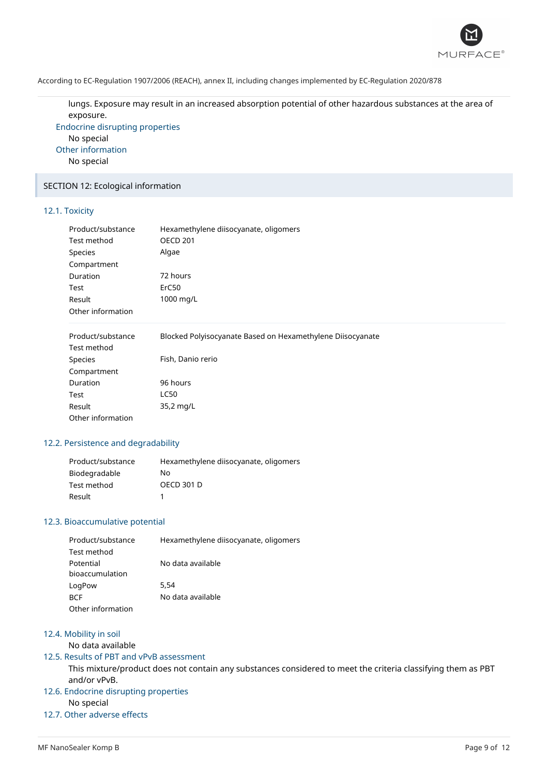

lungs. Exposure may result in an increased absorption potential of other hazardous substances at the area of exposure.

Endocrine disrupting properties No special Other information No special

## SECTION 12: Ecological information

## 12.1. Toxicity

| Product/substance | Hexamethylene diisocyanate, oligomers<br><b>OECD 201</b> |
|-------------------|----------------------------------------------------------|
| Test method       |                                                          |
| <b>Species</b>    | Algae                                                    |
| Compartment       |                                                          |
| Duration          | 72 hours                                                 |
| Test              | ErC50                                                    |
| Result            | 1000 mg/L                                                |
| Other information |                                                          |

| Product/substance | Blocked Polyisocyanate Based on Hexamethylene Diisocyanate |
|-------------------|------------------------------------------------------------|
| Test method       |                                                            |
| Species           | Fish, Danio rerio                                          |
| Compartment       |                                                            |
| Duration          | 96 hours                                                   |
| Test              | LC50                                                       |
| Result            | 35,2 mg/L                                                  |
| Other information |                                                            |

## 12.2. Persistence and degradability

| Product/substance | Hexamethylene diisocyanate, oligomers |
|-------------------|---------------------------------------|
| Biodegradable     | No.                                   |
| Test method       | <b>OECD 301 D</b>                     |
| Result            |                                       |

## 12.3. Bioaccumulative potential

| Product/substance | Hexamethylene diisocyanate, oligomers |
|-------------------|---------------------------------------|
| Test method       |                                       |
| Potential         | No data available                     |
| bioaccumulation   |                                       |
| LogPow            | 5.54                                  |
| <b>BCF</b>        | No data available                     |
| Other information |                                       |

#### 12.4. Mobility in soil

No data available

### 12.5. Results of PBT and vPvB assessment

This mixture/product does not contain any substances considered to meet the criteria classifying them as PBT and/or vPvB.

## 12.6. Endocrine disrupting properties

No special

## 12.7. Other adverse effects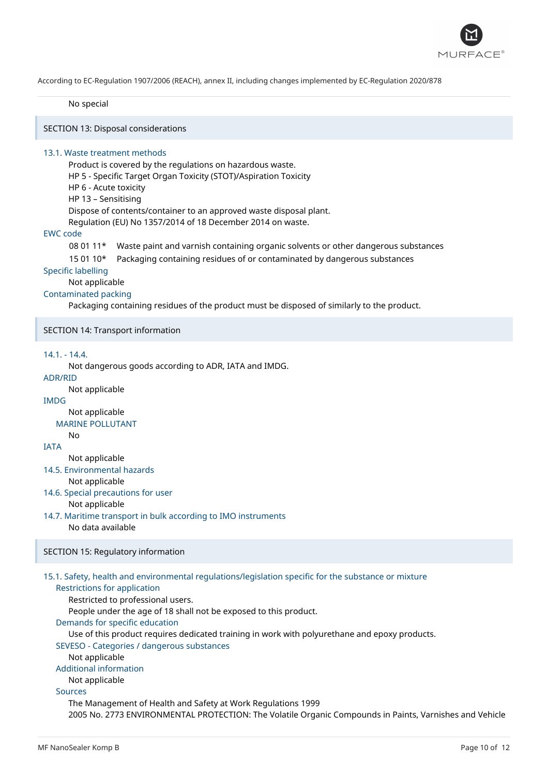

No special

SECTION 13: Disposal considerations

### 13.1. Waste treatment methods

Product is covered by the regulations on hazardous waste. HP 5 - Specific Target Organ Toxicity (STOT)/Aspiration Toxicity HP 6 - Acute toxicity HP 13 – Sensitising Dispose of contents/container to an approved waste disposal plant. Regulation (EU) No 1357/2014 of 18 December 2014 on waste.

### EWC code

08 01 11\* Waste paint and varnish containing organic solvents or other dangerous substances

15 01 10\* Packaging containing residues of or contaminated by dangerous substances

#### Specific labelling

Not applicable

### Contaminated packing

Packaging containing residues of the product must be disposed of similarly to the product.

SECTION 14: Transport information

#### 14.1. - 14.4.

Not dangerous goods according to ADR, IATA and IMDG.

#### ADR/RID

Not applicable

## IMDG

Not applicable

## MARINE POLLUTANT

IATA

No

## Not applicable

14.5. Environmental hazards

Not applicable

- 14.6. Special precautions for user Not applicable
- 14.7. Maritime transport in bulk according to IMO instruments No data available

## SECTION 15: Regulatory information

## 15.1. Safety, health and environmental regulations/legislation specific for the substance or mixture

## Restrictions for application

Restricted to professional users.

People under the age of 18 shall not be exposed to this product.

Demands for specific education

Use of this product requires dedicated training in work with polyurethane and epoxy products.

## SEVESO - Categories / dangerous substances

Not applicable

## Additional information

Not applicable

## Sources

The Management of Health and Safety at Work Regulations 1999 2005 No. 2773 ENVIRONMENTAL PROTECTION: The Volatile Organic Compounds in Paints, Varnishes and Vehicle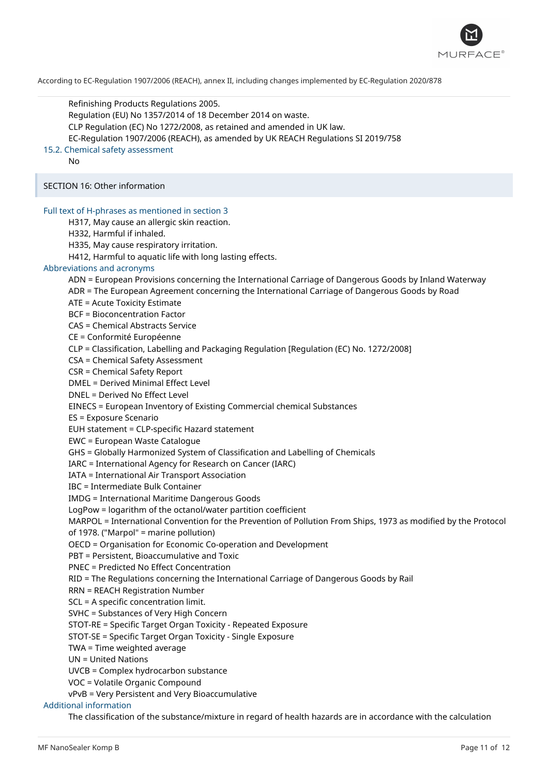

Refinishing Products Regulations 2005. Regulation (EU) No 1357/2014 of 18 December 2014 on waste. CLP Regulation (EC) No 1272/2008, as retained and amended in UK law. EC-Regulation 1907/2006 (REACH), as amended by UK REACH Regulations SI 2019/758 15.2. Chemical safety assessment No SECTION 16: Other information Full text of H-phrases as mentioned in section 3 H317, May cause an allergic skin reaction. H332, Harmful if inhaled. H335, May cause respiratory irritation. H412, Harmful to aquatic life with long lasting effects. Abbreviations and acronyms ADN = European Provisions concerning the International Carriage of Dangerous Goods by Inland Waterway ADR = The European Agreement concerning the International Carriage of Dangerous Goods by Road ATE = Acute Toxicity Estimate BCF = Bioconcentration Factor CAS = Chemical Abstracts Service CE = Conformité Européenne CLP = Classification, Labelling and Packaging Regulation [Regulation (EC) No. 1272/2008] CSA = Chemical Safety Assessment CSR = Chemical Safety Report DMEL = Derived Minimal Effect Level DNEL = Derived No Effect Level EINECS = European Inventory of Existing Commercial chemical Substances ES = Exposure Scenario EUH statement = CLP-specific Hazard statement EWC = European Waste Catalogue GHS = Globally Harmonized System of Classification and Labelling of Chemicals IARC = International Agency for Research on Cancer (IARC) IATA = International Air Transport Association IBC = Intermediate Bulk Container IMDG = International Maritime Dangerous Goods LogPow = logarithm of the octanol/water partition coefficient MARPOL = International Convention for the Prevention of Pollution From Ships, 1973 as modified by the Protocol of 1978. ("Marpol" = marine pollution) OECD = Organisation for Economic Co-operation and Development PBT = Persistent, Bioaccumulative and Toxic PNEC = Predicted No Effect Concentration RID = The Regulations concerning the International Carriage of Dangerous Goods by Rail RRN = REACH Registration Number SCL = A specific concentration limit. SVHC = Substances of Very High Concern STOT-RE = Specific Target Organ Toxicity - Repeated Exposure STOT-SE = Specific Target Organ Toxicity - Single Exposure TWA = Time weighted average UN = United Nations UVCB = Complex hydrocarbon substance VOC = Volatile Organic Compound vPvB = Very Persistent and Very Bioaccumulative Additional information The classification of the substance/mixture in regard of health hazards are in accordance with the calculation